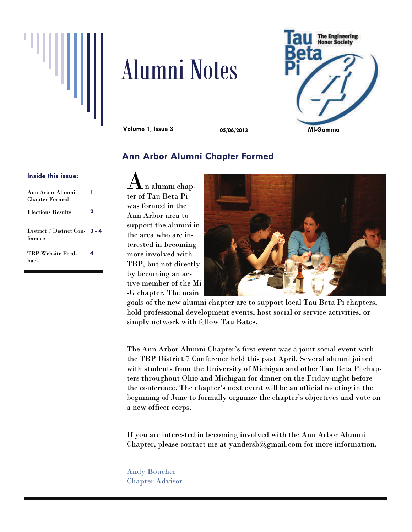

# Alumni Notes



**Volume 1, Issue 3 05/06/2013** 

# **Ann Arbor Alumni Chapter Formed**

#### **Inside this issue:**

| Ann Arbor Alumni<br><b>Chapter Formed</b> |   |
|-------------------------------------------|---|
| <b>Elections Results</b>                  | 2 |
| District 7 District Con 3 - 4<br>ference  |   |
| <b>TBP Website Feed-</b><br>hack          | 4 |

n alumni chapter of Tau Beta Pi was formed in the Ann Arbor area to support the alumni in the area who are interested in becoming more involved with TBP, but not directly by becoming an active member of the Mi -G chapter. The main



goals of the new alumni chapter are to support local Tau Beta Pi chapters, hold professional development events, host social or service activities, or simply network with fellow Tau Bates.

The Ann Arbor Alumni Chapter's first event was a joint social event with the TBP District 7 Conference held this past April. Several alumni joined with students from the University of Michigan and other Tau Beta Pi chapters throughout Ohio and Michigan for dinner on the Friday night before the conference. The chapter's next event will be an official meeting in the beginning of June to formally organize the chapter's objectives and vote on a new officer corps.

If you are interested in becoming involved with the Ann Arbor Alumni Chapter, please contact me at yandersb@gmail.com for more information.

Andy Boucher Chapter Advisor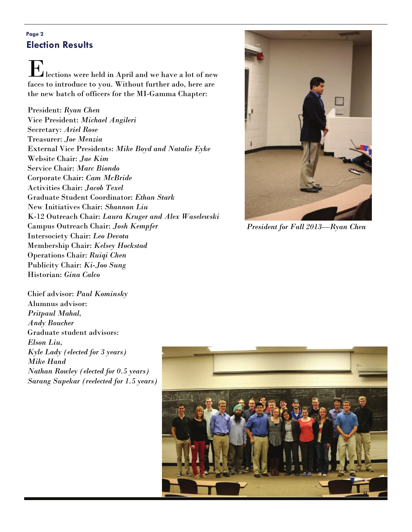## **Page 2 Election Results**

E lections were held in April and we have a lot of new faces to introduce to you. Without further ado, here are the new batch of officers for the MI-Gamma Chapter:

President: *Ryan Chen* Vice President: *Michael Angileri* Secretary: *Ariel Rose* Treasurer: *Joe Menzia* External Vice Presidents: *Mike Boyd and Natalie Eyke* Website Chair: *Jae Kim* Service Chair: *Marc Biondo* Corporate Chair: *Cam McBride* Activities Chair: *Jacob Texel* Graduate Student Coordinator: *Ethan Stark* New Initiatives Chair: *Shannon Liu* K-12 Outreach Chair: *Laura Kruger and Alex Waselewski* Campus Outreach Chair: *Josh Kempfer* Intersociety Chair: *Leo Devota* Membership Chair: *Kelsey Hockstad* Operations Chair: *Ruiqi Chen* Publicity Chair: *Ki-Joo Sung* Historian: *Gina Calco*



*President for Fall 2013—Ryan Chen* 

Chief advisor: *Paul Kominsky* Alumnus advisor: *Pritpaul Mahal, Andy Boucher* Graduate student advisors: *Elson Liu, Kyle Lady (elected for 3 years) Mike Hand Nathan Rowley (elected for 0.5 years) Sarang Supekar (reelected for 1.5 years)* 

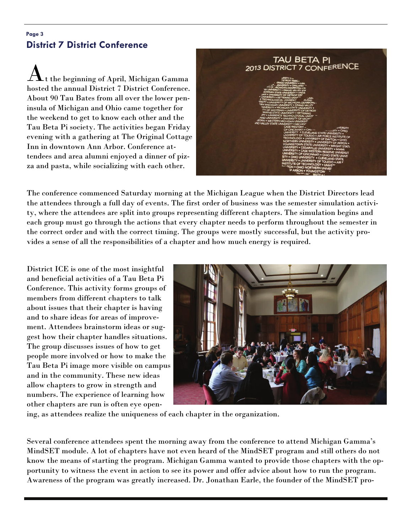## **Page 3 District 7 District Conference**

t the beginning of April, Michigan Gamma. hosted the annual District 7 District Conference. About 90 Tau Bates from all over the lower peninsula of Michigan and Ohio came together for the weekend to get to know each other and the Tau Beta Pi society. The activities began Friday evening with a gathering at The Original Cottage Inn in downtown Ann Arbor. Conference attendees and area alumni enjoyed a dinner of pizza and pasta, while socializing with each other.



The conference commenced Saturday morning at the Michigan League when the District Directors lead the attendees through a full day of events. The first order of business was the semester simulation activity, where the attendees are split into groups representing different chapters. The simulation begins and each group must go through the actions that every chapter needs to perform throughout the semester in the correct order and with the correct timing. The groups were mostly successful, but the activity provides a sense of all the responsibilities of a chapter and how much energy is required.

District ICE is one of the most insightful and beneficial activities of a Tau Beta Pi Conference. This activity forms groups of members from different chapters to talk about issues that their chapter is having and to share ideas for areas of improvement. Attendees brainstorm ideas or suggest how their chapter handles situations. The group discusses issues of how to get people more involved or how to make the Tau Beta Pi image more visible on campus and in the community. These new ideas allow chapters to grow in strength and numbers. The experience of learning how other chapters are run is often eye open-



ing, as attendees realize the uniqueness of each chapter in the organization.

Several conference attendees spent the morning away from the conference to attend Michigan Gamma's MindSET module. A lot of chapters have not even heard of the MindSET program and still others do not know the means of starting the program. Michigan Gamma wanted to provide those chapters with the opportunity to witness the event in action to see its power and offer advice about how to run the program. Awareness of the program was greatly increased. Dr. Jonathan Earle, the founder of the MindSET pro-